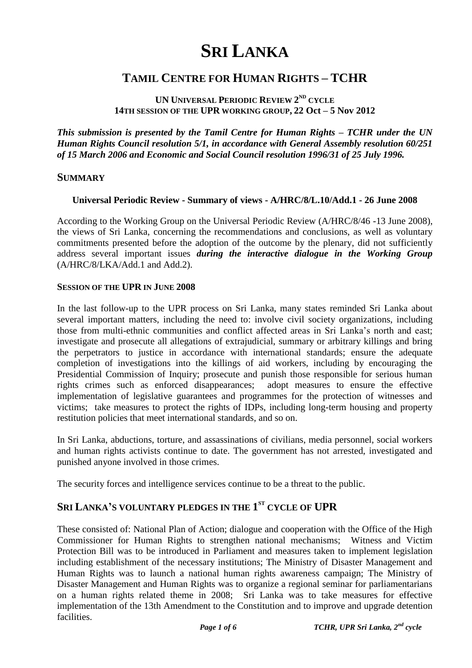# **SRI LANKA**

# **TAMIL CENTRE FOR HUMAN RIGHTS – TCHR**

#### **UN UNIVERSAL PERIODIC REVIEW 2 ND CYCLE 14TH SESSION OF THE UPR WORKING GROUP, 22 Oct – 5 Nov 2012**

*This submission is presented by the Tamil Centre for Human Rights – TCHR under the UN Human Rights Council resolution 5/1, in accordance with General Assembly resolution 60/251 of 15 March 2006 and Economic and Social Council resolution 1996/31 of 25 July 1996.*

#### **SUMMARY**

#### **Universal Periodic Review - Summary of views - A/HRC/8/L.10/Add.1 - 26 June 2008**

According to the Working Group on the Universal Periodic Review (A/HRC/8/46 -13 June 2008), the views of Sri Lanka, concerning the recommendations and conclusions, as well as voluntary commitments presented before the adoption of the outcome by the plenary, did not sufficiently address several important issues *during the interactive dialogue in the Working Group* (A/HRC/8/LKA/Add.1 and Add.2).

#### **SESSION OF THE UPR IN JUNE 2008**

In the last follow-up to the UPR process on Sri Lanka, many states reminded Sri Lanka about several important matters, including the need to: involve civil society organizations, including those from multi-ethnic communities and conflict affected areas in Sri Lanka"s north and east; investigate and prosecute all allegations of extrajudicial, summary or arbitrary killings and bring the perpetrators to justice in accordance with international standards; ensure the adequate completion of investigations into the killings of aid workers, including by encouraging the Presidential Commission of Inquiry; prosecute and punish those responsible for serious human rights crimes such as enforced disappearances; adopt measures to ensure the effective implementation of legislative guarantees and programmes for the protection of witnesses and victims; take measures to protect the rights of IDPs, including long-term housing and property restitution policies that meet international standards, and so on.

In Sri Lanka, abductions, torture, and assassinations of civilians, media personnel, social workers and human rights activists continue to date. The government has not arrested, investigated and punished anyone involved in those crimes.

The security forces and intelligence services continue to be a threat to the public.

#### **SRI LANKA'S VOLUNTARY PLEDGES IN THE 1 ST CYCLE OF UPR**

These consisted of: National Plan of Action; dialogue and cooperation with the Office of the High Commissioner for Human Rights to strengthen national mechanisms; Witness and Victim Protection Bill was to be introduced in Parliament and measures taken to implement legislation including establishment of the necessary institutions; The Ministry of Disaster Management and Human Rights was to launch a national human rights awareness campaign; The Ministry of Disaster Management and Human Rights was to organize a regional seminar for parliamentarians on a human rights related theme in 2008; Sri Lanka was to take measures for effective implementation of the 13th Amendment to the Constitution and to improve and upgrade detention facilities.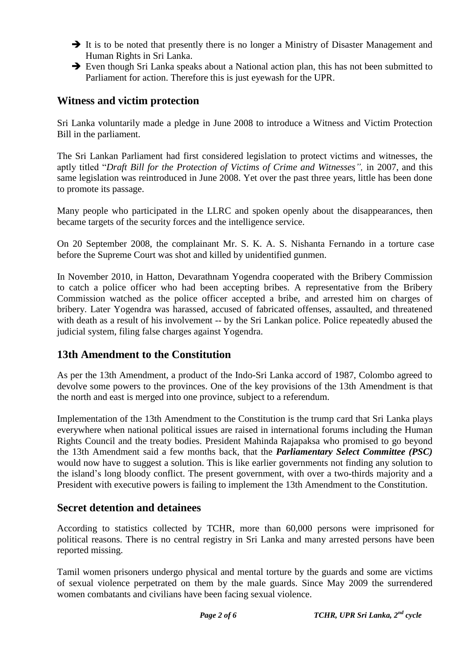- $\rightarrow$  It is to be noted that presently there is no longer a Ministry of Disaster Management and Human Rights in Sri Lanka.
- Even though Sri Lanka speaks about a National action plan, this has not been submitted to Parliament for action. Therefore this is just eyewash for the UPR.

# **Witness and victim protection**

Sri Lanka voluntarily made a pledge in June 2008 to introduce a Witness and Victim Protection Bill in the parliament.

The Sri Lankan Parliament had first considered legislation to protect victims and witnesses, the aptly titled "*[Draft Bill for the Protection of Victims of Crime and Witnesses"](http://www.alrc.net/doc/mainfile.php/documents/435/),* in 2007, and this same legislation was reintroduced in June 2008. Yet over the past three years, little has been done to promote its passage.

Many people who participated in the LLRC and spoken openly about the disappearances, then became targets of the security forces and the intelligence service.

On 20 September 2008, the complainant Mr. S. K. A. S. Nishanta Fernando in a torture case before the Supreme Court was shot and killed by unidentified gunmen.

In November 2010, in Hatton, Devarathnam Yogendra cooperated with the Bribery Commission to catch a police officer who had been accepting bribes. A representative from the Bribery Commission watched as the police officer accepted a bribe, and arrested him on charges of bribery. Later Yogendra was harassed, accused of fabricated offenses, assaulted, and threatened with death as a result of his involvement -- by the Sri Lankan police. Police repeatedly abused the judicial system, filing false charges against Yogendra.

## **13th Amendment to the Constitution**

As per the 13th Amendment, a product of the Indo-Sri Lanka accord of 1987, Colombo agreed to devolve some powers to the provinces. One of the key provisions of the 13th Amendment is that the north and east is merged into one province, subject to a referendum.

Implementation of the 13th Amendment to the Constitution is the trump card that Sri Lanka plays everywhere when national political issues are raised in international forums including the Human Rights Council and the treaty bodies. President Mahinda Rajapaksa who promised to go beyond the 13th Amendment said a few months back, that the *Parliamentary Select Committee (PSC)*  would now have to suggest a solution. This is like earlier governments not finding any solution to the island"s long bloody conflict. The present government, with over a two-thirds majority and a President with executive powers is failing to implement the 13th Amendment to the Constitution.

## **Secret detention and detainees**

According to statistics collected by TCHR, more than 60,000 persons were imprisoned for political reasons. There is no central registry in Sri Lanka and many arrested persons have been reported missing.

Tamil women prisoners undergo physical and mental torture by the guards and some are victims of sexual violence perpetrated on them by the male guards. Since May 2009 the surrendered women combatants and civilians have been facing sexual violence.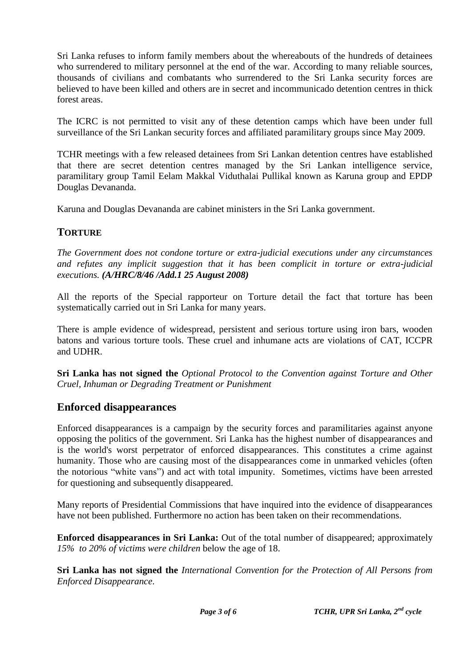Sri Lanka refuses to inform family members about the whereabouts of the hundreds of detainees who surrendered to military personnel at the end of the war. According to many reliable sources, thousands of civilians and combatants who surrendered to the Sri Lanka security forces are believed to have been killed and others are in secret and incommunicado detention centres in thick forest areas.

The ICRC is not permitted to visit any of these detention camps which have been under full surveillance of the Sri Lankan security forces and affiliated paramilitary groups since May 2009.

TCHR meetings with a few released detainees from Sri Lankan detention centres have established that there are secret detention centres managed by the Sri Lankan intelligence service, paramilitary group Tamil Eelam Makkal Viduthalai Pullikal known as Karuna group and EPDP Douglas Devananda.

Karuna and Douglas Devananda are cabinet ministers in the Sri Lanka government.

#### **TORTURE**

*The Government does not condone torture or extra-judicial executions under any circumstances and refutes any implicit suggestion that it has been complicit in torture or extra-judicial executions. (A/HRC/8/46 /Add.1 25 August 2008)*

All the reports of the Special rapporteur on Torture detail the fact that torture has been systematically carried out in Sri Lanka for many years.

There is ample evidence of widespread, persistent and serious torture using iron bars, wooden batons and various torture tools. These cruel and inhumane acts are violations of CAT, ICCPR and UDHR.

**Sri Lanka has not signed the** *Optional Protocol to the Convention against Torture and Other Cruel, Inhuman or Degrading Treatment or Punishment*

## **Enforced disappearances**

Enforced disappearances is a campaign by the security forces and paramilitaries against anyone opposing the politics of the government. Sri Lanka has the highest number of disappearances and is the world's worst perpetrator of enforced disappearances. This constitutes a crime against humanity. Those who are causing most of the disappearances come in unmarked vehicles (often the notorious "white vans") and act with total impunity. Sometimes, victims have been arrested for questioning and subsequently disappeared.

Many reports of Presidential Commissions that have inquired into the evidence of disappearances have not been published. Furthermore no action has been taken on their recommendations.

**Enforced disappearances in Sri Lanka:** Out of the total number of disappeared; approximately *15% to 20% of victims were children* below the age of 18.

**Sri Lanka has not signed the** *International Convention for the Protection of All Persons from Enforced Disappearance.*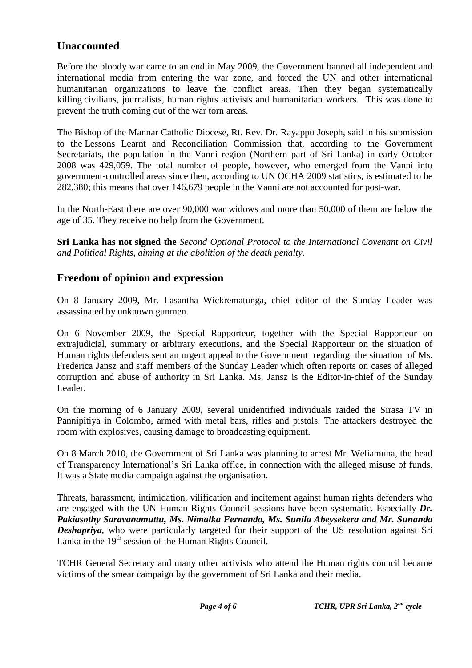# **Unaccounted**

Before the bloody war came to an end in May 2009, the Government banned all independent and international media from entering the war zone, and forced the UN and other international humanitarian organizations to leave the conflict areas. Then they began systematically killing civilians, journalists, human rights activists and humanitarian workers. This was done to prevent the truth coming out of the war torn areas.

The Bishop of the Mannar Catholic Diocese, Rt. Rev. Dr. Rayappu Joseph, said in his submission to the Lessons Learnt and Reconciliation Commission that, according to the Government Secretariats, the population in the Vanni region (Northern part of Sri Lanka) in early October 2008 was 429,059. The total number of people, however, who emerged from the Vanni into government-controlled areas since then, according to UN OCHA 2009 statistics, is estimated to be 282,380; this means that over 146,679 people in the Vanni are not accounted for post-war.

In the North-East there are over 90,000 war widows and more than 50,000 of them are below the age of 35. They receive no help from the Government.

**Sri Lanka has not signed the** *Second Optional Protocol to the International Covenant on Civil and Political Rights, aiming at the abolition of the death penalty.*

# **Freedom of opinion and expression**

On 8 January 2009, Mr. Lasantha Wickrematunga, chief editor of the Sunday Leader was assassinated by unknown gunmen.

On 6 November 2009, the Special Rapporteur, together with the Special Rapporteur on extrajudicial, summary or arbitrary executions, and the Special Rapporteur on the situation of Human rights defenders sent an urgent appeal to the Government regarding the situation of Ms. Frederica Jansz and staff members of the Sunday Leader which often reports on cases of alleged corruption and abuse of authority in Sri Lanka. Ms. Jansz is the Editor-in-chief of the Sunday Leader.

On the morning of 6 January 2009, several unidentified individuals raided the Sirasa TV in Pannipitiya in Colombo, armed with metal bars, rifles and pistols. The attackers destroyed the room with explosives, causing damage to broadcasting equipment.

On 8 March 2010, the Government of Sri Lanka was planning to arrest Mr. Weliamuna, the head of Transparency International"s Sri Lanka office, in connection with the alleged misuse of funds. It was a State media campaign against the organisation.

Threats, harassment, intimidation, vilification and incitement against human rights defenders who are engaged with the UN Human Rights Council sessions have been systematic. Especially *Dr. Pakiasothy Saravanamuttu, Ms. Nimalka Fernando, Ms. Sunila Abeysekera and Mr. Sunanda Deshapriya,* who were particularly targeted for their support of the US resolution against Sri Lanka in the  $19<sup>th</sup>$  session of the Human Rights Council.

TCHR General Secretary and many other activists who attend the Human rights council became victims of the smear campaign by the government of Sri Lanka and their media.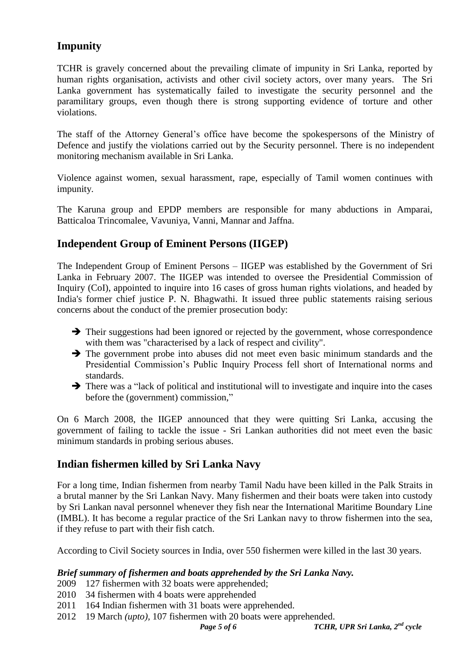# **Impunity**

TCHR is gravely concerned about the prevailing climate of impunity in Sri Lanka, reported by human rights organisation, activists and other civil society actors, over many years. The Sri Lanka government has systematically failed to investigate the security personnel and the paramilitary groups, even though there is strong supporting evidence of torture and other violations.

The staff of the Attorney General"s office have become the spokespersons of the Ministry of Defence and justify the violations carried out by the Security personnel. There is no independent monitoring mechanism available in Sri Lanka.

Violence against women, sexual harassment, rape, especially of Tamil women continues with impunity.

The Karuna group and EPDP members are responsible for many abductions in Amparai, Batticaloa Trincomalee, Vavuniya, Vanni, Mannar and Jaffna.

# **Independent Group of Eminent Persons (IIGEP)**

The Independent Group of Eminent Persons – IIGEP was established by the Government of Sri Lanka in February 2007. The IIGEP was intended to oversee the Presidential Commission of Inquiry (CoI), appointed to inquire into 16 cases of gross human rights violations, and headed by India's former chief justice P. N. Bhagwathi. It issued three public statements raising serious concerns about the conduct of the premier prosecution body:

- $\rightarrow$  Their suggestions had been ignored or rejected by the government, whose correspondence with them was "characterised by a lack of respect and civility".
- $\rightarrow$  The government probe into abuses did not meet even basic minimum standards and the Presidential Commission"s Public Inquiry Process fell short of International norms and standards.
- $\rightarrow$  There was a "lack of political and institutional will to investigate and inquire into the cases before the (government) commission,"

On 6 March 2008, the IIGEP announced that they were quitting Sri Lanka, accusing the government of failing to tackle the issue - Sri Lankan authorities did not meet even the basic minimum standards in probing serious abuses.

## **Indian fishermen killed by Sri Lanka Navy**

For a long time, Indian fishermen from nearby Tamil Nadu have been killed in the Palk Straits in a brutal manner by the Sri Lankan Navy. Many fishermen and their boats were taken into custody by Sri Lankan naval personnel whenever they fish near the International Maritime Boundary Line (IMBL). It has become a regular practice of the Sri Lankan navy to throw fishermen into the sea, if they refuse to part with their fish catch.

According to Civil Society sources in India, over 550 fishermen were killed in the last 30 years.

#### *Brief summary of fishermen and boats apprehended by the Sri Lanka Navy.*

- 2009 127 fishermen with 32 boats were apprehended;
- 2010 34 fishermen with 4 boats were apprehended
- 2011 164 Indian fishermen with 31 boats were apprehended.
- 2012 19 March *(upto),* 107 fishermen with 20 boats were apprehended.